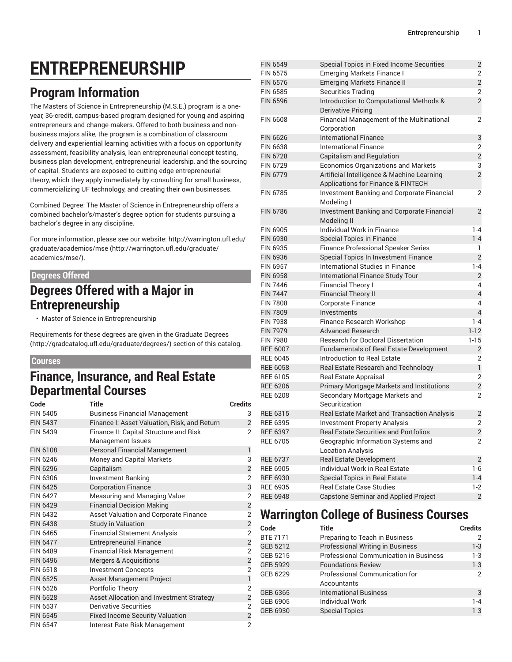# **ENTREPRENEURSHIP**

# **Program Information**

The Masters of Science in Entrepreneurship (M.S.E.) program is a oneyear, 36-credit, campus-based program designed for young and aspiring entrepreneurs and change-makers. Offered to both business and nonbusiness majors alike, the program is a combination of classroom delivery and experiential learning activities with a focus on opportunity assessment, feasibility analysis, lean entrepreneurial concept testing, business plan development, entrepreneurial leadership, and the sourcing of capital. Students are exposed to cutting edge entrepreneurial theory, which they apply immediately by consulting for small business, commercializing UF technology, and creating their own businesses.

Combined Degree: The Master of Science in Entrepreneurship offers a combined bachelor's/master's degree option for students pursuing a bachelor's degree in any discipline.

For more information, please see our website: [http://warrington.ufl.edu/](http://warrington.ufl.edu/graduate/academics/mse/) [graduate/academics/mse](http://warrington.ufl.edu/graduate/academics/mse/) [\(http://warrington.ufl.edu/graduate/](http://warrington.ufl.edu/graduate/academics/mse/) [academics/mse/](http://warrington.ufl.edu/graduate/academics/mse/)).

### **Degrees Offered**

### **Degrees Offered with a Major in Entrepreneurship**

• Master of Science in Entrepreneurship

Requirements for these degrees are given in the [Graduate](http://gradcatalog.ufl.edu/graduate/degrees/) Degrees ([http://gradcatalog.ufl.edu/graduate/degrees/\)](http://gradcatalog.ufl.edu/graduate/degrees/) section of this catalog.

#### **Courses**

### **Finance, Insurance, and Real Estate Departmental Courses**

| Code            | <b>Title</b>                                 | <b>Credits</b>          |
|-----------------|----------------------------------------------|-------------------------|
| <b>FIN 5405</b> | <b>Business Financial Management</b>         | 3                       |
| <b>FIN 5437</b> | Finance I: Asset Valuation, Risk, and Return | $\overline{c}$          |
| FIN 5439        | Finance II: Capital Structure and Risk       | $\overline{2}$          |
|                 | Management Issues                            |                         |
| FIN 6108        | <b>Personal Financial Management</b>         | 1                       |
| FIN 6246        | Money and Capital Markets                    | 3                       |
| <b>FIN 6296</b> | Capitalism                                   | $\overline{c}$          |
| FIN 6306        | Investment Banking                           | $\overline{2}$          |
| <b>FIN 6425</b> | <b>Corporation Finance</b>                   | 3                       |
| <b>FIN 6427</b> | Measuring and Managing Value                 | $\overline{2}$          |
| <b>FIN 6429</b> | <b>Financial Decision Making</b>             | $\overline{2}$          |
| FIN 6432        | Asset Valuation and Corporate Finance        | $\overline{2}$          |
| <b>FIN 6438</b> | <b>Study in Valuation</b>                    | $\overline{c}$          |
| FIN 6465        | <b>Financial Statement Analysis</b>          | $\overline{2}$          |
| <b>FIN 6477</b> | <b>Entrepreneurial Finance</b>               | $\overline{c}$          |
| <b>FIN 6489</b> | <b>Financial Risk Management</b>             | $\overline{2}$          |
| <b>FIN 6496</b> | <b>Mergers &amp; Acquisitions</b>            | $\overline{c}$          |
| <b>FIN 6518</b> | <b>Investment Concepts</b>                   | $\overline{2}$          |
| <b>FIN 6525</b> | Asset Management Project                     | $\mathbf{1}$            |
| FIN 6526        | Portfolio Theory                             | $\overline{2}$          |
| <b>FIN 6528</b> | Asset Allocation and Investment Strategy     | $\overline{c}$          |
| <b>FIN 6537</b> | Derivative Securities                        | $\overline{2}$          |
| <b>FIN 6545</b> | <b>Fixed Income Security Valuation</b>       | $\overline{\mathbf{c}}$ |
| <b>FIN 6547</b> | Interest Rate Risk Management                | $\overline{2}$          |

| <b>FIN 6549</b>                    | Special Topics in Fixed Income Securities                                        | 2                       |
|------------------------------------|----------------------------------------------------------------------------------|-------------------------|
| <b>FIN 6575</b>                    | <b>Emerging Markets Finance I</b>                                                | $\overline{2}$          |
| <b>FIN 6576</b>                    | <b>Emerging Markets Finance II</b>                                               | $\overline{c}$          |
| <b>FIN 6585</b>                    | <b>Securities Trading</b>                                                        | $\overline{2}$          |
| <b>FIN 6596</b>                    | Introduction to Computational Methods &                                          | $\overline{2}$          |
|                                    | <b>Derivative Pricing</b>                                                        |                         |
| <b>FIN 6608</b>                    | Financial Management of the Multinational<br>Corporation                         | $\overline{2}$          |
| <b>FIN 6626</b>                    | <b>International Finance</b>                                                     | 3                       |
| <b>FIN 6638</b>                    | <b>International Finance</b>                                                     | 2                       |
| <b>FIN 6728</b>                    | Capitalism and Regulation                                                        | $\overline{2}$          |
| <b>FIN 6729</b>                    | Economics Organizations and Markets                                              | 3                       |
| <b>FIN 6779</b>                    | Artificial Intelligence & Machine Learning<br>Applications for Finance & FINTECH | $\overline{2}$          |
| <b>FIN 6785</b>                    | Investment Banking and Corporate Financial                                       | 2                       |
|                                    | Modeling I                                                                       |                         |
| <b>FIN 6786</b>                    | Investment Banking and Corporate Financial<br>Modeling II                        | $\overline{2}$          |
| FIN 6905                           | Individual Work in Finance                                                       | $1 - 4$                 |
| <b>FIN 6930</b>                    | <b>Special Topics in Finance</b>                                                 | $1 - 4$                 |
| FIN 6935                           | <b>Finance Professional Speaker Series</b>                                       | 1                       |
| <b>FIN 6936</b>                    | Special Topics In Investment Finance                                             | $\overline{2}$          |
| <b>FIN 6957</b>                    | International Studies in Finance                                                 | $1 - 4$                 |
| <b>FIN 6958</b>                    | <b>International Finance Study Tour</b>                                          | $\overline{c}$          |
| <b>FIN 7446</b>                    | <b>Financial Theory I</b>                                                        | 4                       |
| <b>FIN 7447</b>                    | <b>Financial Theory II</b>                                                       | $\overline{4}$          |
| <b>FIN 7808</b>                    | <b>Corporate Finance</b>                                                         | 4                       |
| <b>FIN 7809</b>                    | Investments                                                                      | $\overline{4}$          |
| <b>FIN 7938</b>                    | Finance Research Workshop                                                        | $1 - 4$                 |
| <b>FIN 7979</b>                    | <b>Advanced Research</b>                                                         | $1 - 12$                |
| <b>FIN 7980</b>                    | <b>Research for Doctoral Dissertation</b>                                        | $1 - 15$                |
| <b>REE 6007</b>                    | Fundamentals of Real Estate Development                                          | $\overline{2}$          |
| <b>REE 6045</b>                    | Introduction to Real Estate                                                      | 2                       |
| <b>REE 6058</b>                    | Real Estate Research and Technology                                              | $\mathbf{1}$            |
| <b>REE 6105</b>                    | Real Estate Appraisal                                                            | $\overline{2}$          |
| <b>REE 6206</b>                    | Primary Mortgage Markets and Institutions                                        | $\overline{c}$          |
| <b>REE 6208</b>                    | Secondary Mortgage Markets and                                                   | $\overline{2}$          |
|                                    | Securitization                                                                   |                         |
| <b>REE 6315</b>                    | Real Estate Market and Transaction Analysis                                      | $\overline{2}$          |
| <b>REE 6395</b>                    | <b>Investment Property Analysis</b>                                              | $\overline{2}$          |
| <b>REE 6397</b>                    | <b>Real Estate Securities and Portfolios</b>                                     | $\overline{2}$          |
| <b>REE 6705</b>                    | Geographic Information Systems and<br><b>Location Analysis</b>                   | 2                       |
|                                    | <b>Real Estate Development</b>                                                   |                         |
| <b>REE 6737</b>                    | Individual Work in Real Estate                                                   | $\overline{2}$          |
| <b>REE 6905</b>                    |                                                                                  | 1-6                     |
| <b>REE 6930</b><br><b>REE 6935</b> | Special Topics in Real Estate<br><b>Real Estate Case Studies</b>                 | $1 - 4$                 |
|                                    |                                                                                  | $1-2$                   |
| <b>REE 6948</b>                    | <b>Capstone Seminar and Applied Project</b>                                      | $\overline{\mathbf{c}}$ |

## **Warrington College of Business Courses**

| Code            | Title                                         | <b>Credits</b> |
|-----------------|-----------------------------------------------|----------------|
| <b>BTE 7171</b> | Preparing to Teach in Business                | 2              |
| GEB 5212        | <b>Professional Writing in Business</b>       | $1-3$          |
| GEB 5215        | <b>Professional Communication in Business</b> | $1-3$          |
| GEB 5929        | <b>Foundations Review</b>                     | $1 - 3$        |
| GEB 6229        | <b>Professional Communication for</b>         | 2              |
|                 | Accountants                                   |                |
| GEB 6365        | <b>International Business</b>                 | 3              |
| GEB 6905        | <b>Individual Work</b>                        | $1 - 4$        |
| GEB 6930        | <b>Special Topics</b>                         | $1 - 3$        |
|                 |                                               |                |